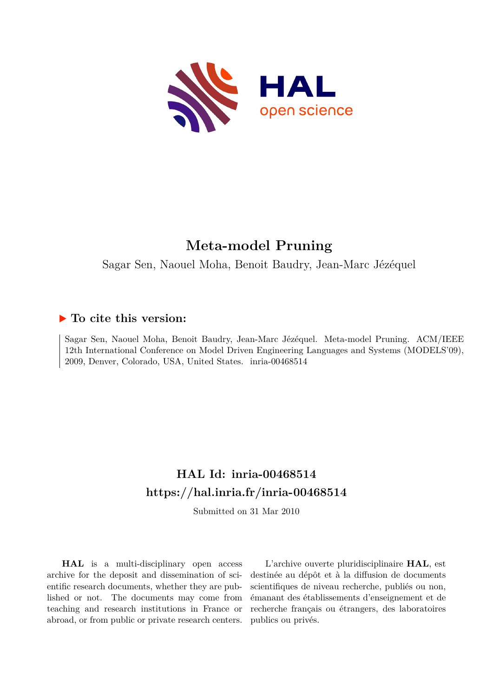

# **Meta-model Pruning**

Sagar Sen, Naouel Moha, Benoit Baudry, Jean-Marc Jézéquel

## **To cite this version:**

Sagar Sen, Naouel Moha, Benoit Baudry, Jean-Marc Jézéquel. Meta-model Pruning. ACM/IEEE 12th International Conference on Model Driven Engineering Languages and Systems (MODELS'09), 2009, Denver, Colorado, USA, United States. inria-00468514

# **HAL Id: inria-00468514 <https://hal.inria.fr/inria-00468514>**

Submitted on 31 Mar 2010

**HAL** is a multi-disciplinary open access archive for the deposit and dissemination of scientific research documents, whether they are published or not. The documents may come from teaching and research institutions in France or abroad, or from public or private research centers.

L'archive ouverte pluridisciplinaire **HAL**, est destinée au dépôt et à la diffusion de documents scientifiques de niveau recherche, publiés ou non, émanant des établissements d'enseignement et de recherche français ou étrangers, des laboratoires publics ou privés.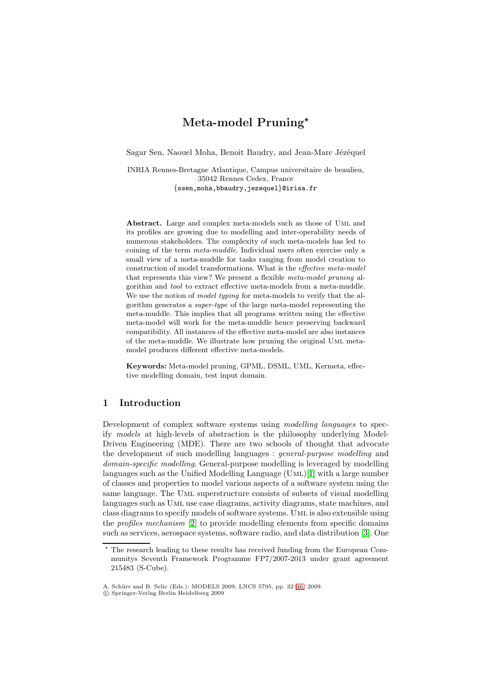## Meta-model Pruning\*

Sagar Sen, Naouel Moha, Benoit Baudry, and Jean-Marc Jézéquel

INRIA Rennes-Bretagne Atlantique, Campus universitaire de beaulieu, 35042 Rennes Cedex, France {ssen,moha,bbaudry,jezequel}@irisa.fr

Abstract. Large and complex meta-models such as those of Uml and its profiles are growing due to modelling and inter-operability needs of numerous stakeholders. The complexity of such meta-models has led to coining of the term meta-muddle. Individual users often exercise only a small view of a meta-muddle for tasks ranging from model creation to construction of model transformations. What is the effective meta-model that represents this view? We present a flexible meta-model pruning algorithm and tool to extract effective meta-models from a meta-muddle. We use the notion of *model typing* for meta-models to verify that the algorithm generates a super-type of the large meta-model representing the meta-muddle. This implies that all programs written using the effective meta-model will work for the meta-muddle hence preserving backward compatibility. All instances of the effective meta-model are also instances of the meta-muddle. We illustrate how pruning the original Uml metamodel produces different effective meta-models.

Keywords: Meta-model pruning, GPML, DSML, UML, Kermeta, effective modelling domain, test input domain.

## 1 Introduction

Development of complex software systems using modelling languages to specify models at high-levels of abstraction is the philosophy underlying Model-Driven Engineering (MDE). There are two schools of thought that advocate the development of such modelling languages : general-purpose modelling and domain-specific modelling. General-purpose modelling is leveraged by modelling languages such as the Unified Modelling Language (UML)[\[1\]](#page-14-0) with a large number of classes and properties to model various aspects of a software system using the same language. The Uml superstructure consists of subsets of visual modelling languages such as Uml use case diagrams, activity diagrams, state machines, and class diagrams to specify models of software systems. Uml is also extensible using the profiles mechanism [\[2\]](#page-14-1) to provide modelling elements from specific domains such as services, aerospace systems, software radio, and data distribution [\[3\]](#page-14-2). One

The research leading to these results has received funding from the European Communitys Seventh Framework Programme FP7/2007-2013 under grant agreement 215483 (S-Cube).

A. Schürr and B. Selic (Eds.): MODELS 2009, LNCS 5795, pp. 32-46, 2009.

<sup>-</sup>c Springer-Verlag Berlin Heidelberg 2009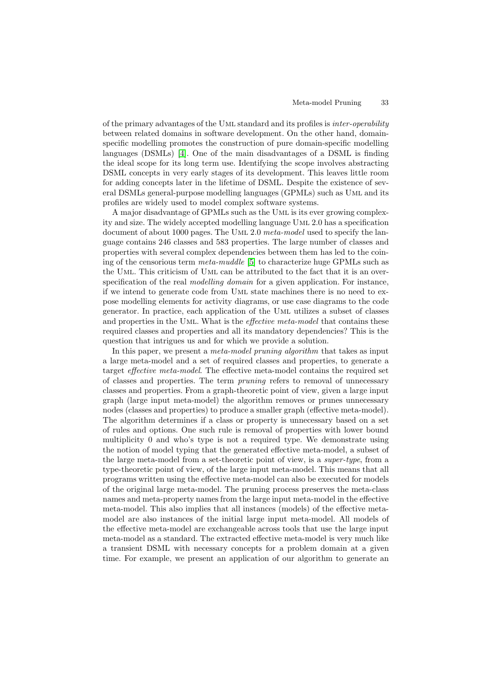of the primary advantages of the Uml standard and its profiles is inter-operability between related domains in software development. On the other hand, domainspecific modelling promotes the construction of pure domain-specific modelling languages (DSMLs) [\[4\]](#page-14-4). One of the main disadvantages of a DSML is finding the ideal scope for its long term use. Identifying the scope involves abstracting DSML concepts in very early stages of its development. This leaves little room for adding concepts later in the lifetime of DSML. Despite the existence of several DSMLs general-purpose modelling languages (GPMLs) such as Uml and its profiles are widely used to model complex software systems.

A major disadvantage of GPMLs such as the Uml is its ever growing complexity and size. The widely accepted modelling language Uml 2.0 has a specification document of about 1000 pages. The UML 2.0 meta-model used to specify the language contains 246 classes and 583 properties. The large number of classes and properties with several complex dependencies between them has led to the coining of the censorious term meta-muddle [\[5\]](#page-14-5) to characterize huge GPMLs such as the Uml. This criticism of Uml can be attributed to the fact that it is an overspecification of the real *modelling domain* for a given application. For instance, if we intend to generate code from Uml state machines there is no need to expose modelling elements for activity diagrams, or use case diagrams to the code generator. In practice, each application of the Uml utilizes a subset of classes and properties in the UML. What is the *effective meta-model* that contains these required classes and properties and all its mandatory dependencies? This is the question that intrigues us and for which we provide a solution.

In this paper, we present a *meta-model pruning algorithm* that takes as input a large meta-model and a set of required classes and properties, to generate a target effective meta-model. The effective meta-model contains the required set of classes and properties. The term pruning refers to removal of unnecessary classes and properties. From a graph-theoretic point of view, given a large input graph (large input meta-model) the algorithm removes or prunes unnecessary nodes (classes and properties) to produce a smaller graph (effective meta-model). The algorithm determines if a class or property is unnecessary based on a set of rules and options. One such rule is removal of properties with lower bound multiplicity 0 and who's type is not a required type. We demonstrate using the notion of model typing that the generated effective meta-model, a subset of the large meta-model from a set-theoretic point of view, is a super-type, from a type-theoretic point of view, of the large input meta-model. This means that all programs written using the effective meta-model can also be executed for models of the original large meta-model. The pruning process preserves the meta-class names and meta-property names from the large input meta-model in the effective meta-model. This also implies that all instances (models) of the effective metamodel are also instances of the initial large input meta-model. All models of the effective meta-model are exchangeable across tools that use the large input meta-model as a standard. The extracted effective meta-model is very much like a transient DSML with necessary concepts for a problem domain at a given time. For example, we present an application of our algorithm to generate an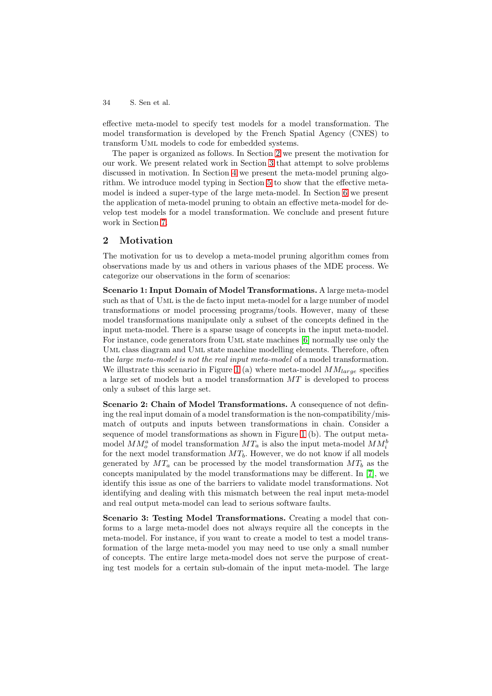effective meta-model to specify test models for a model transformation. The model transformation is developed by the French Spatial Agency (CNES) to transform Uml models to code for embedded systems.

The paper is organized as follows. In Section [2](#page-3-0) we present the motivation for our work. We present related work in Section [3](#page-5-0) that attempt to solve problems discussed in motivation. In Section [4](#page-6-0) we present the meta-model pruning algorithm. We introduce model typing in Section [5](#page-11-0) to show that the effective metamodel is indeed a super-type of the large meta-model. In Section [6](#page-12-0) we present the application of meta-model pruning to obtain an effective meta-model for develop test models for a model transformation. We conclude and present future work in Section [7.](#page-14-6)

### <span id="page-3-0"></span>2 Motivation

The motivation for us to develop a meta-model pruning algorithm comes from observations made by us and others in various phases of the MDE process. We categorize our observations in the form of scenarios:

Scenario 1: Input Domain of Model Transformations. A large meta-model such as that of Uml is the de facto input meta-model for a large number of model transformations or model processing programs/tools. However, many of these model transformations manipulate only a subset of the concepts defined in the input meta-model. There is a sparse usage of concepts in the input meta-model. For instance, code generators from Uml state machines [\[6\]](#page-14-7) normally use only the UML class diagram and UML state machine modelling elements. Therefore, often the *large meta-model is not the real input meta-model* of a model transformation. We illustrate this scenario in Figure [1](#page-4-0) (a) where meta-model  $MM_{large}$  specifies a large set of models but a model transformation  $MT$  is developed to process only a subset of this large set.

Scenario 2: Chain of Model Transformations. A consequence of not defining the real input domain of a model transformation is the non-compatibility/mismatch of outputs and inputs between transformations in chain. Consider a sequence of model transformations as shown in Figure [1](#page-4-0) (b). The output metamodel  $MM_o^a$  of model transformation  $MT_a$  is also the input meta-model  $MM_i^b$ for the next model transformation  $MT_b$ . However, we do not know if all models generated by  $MT_a$  can be processed by the model transformation  $MT_b$  as the concepts manipulated by the model transformations may be different. In [\[7\]](#page-14-8), we identify this issue as one of the barriers to validate model transformations. Not identifying and dealing with this mismatch between the real input meta-model and real output meta-model can lead to serious software faults.

Scenario 3: Testing Model Transformations. Creating a model that conforms to a large meta-model does not always require all the concepts in the meta-model. For instance, if you want to create a model to test a model transformation of the large meta-model you may need to use only a small number of concepts. The entire large meta-model does not serve the purpose of creating test models for a certain sub-domain of the input meta-model. The large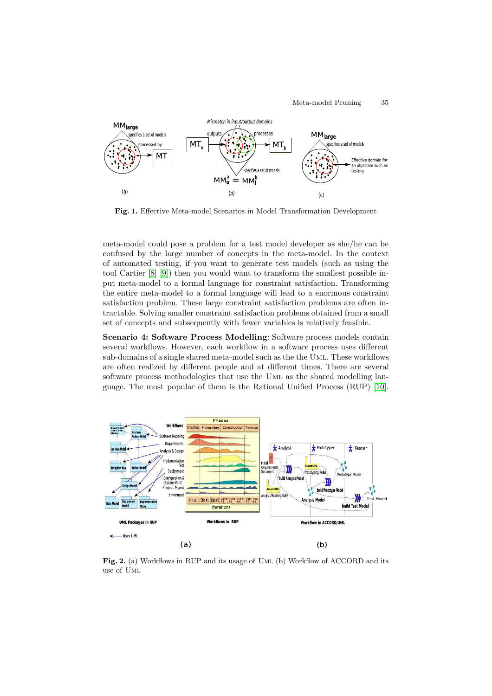

<span id="page-4-0"></span>Fig. 1. Effective Meta-model Scenarios in Model Transformation Development

meta-model could pose a problem for a test model developer as she/he can be confused by the large number of concepts in the meta-model. In the context of automated testing, if you want to generate test models (such as using the tool Cartier [\[8\]](#page-14-9) [\[9\]](#page-15-0)) then you would want to transform the smallest possible input meta-model to a formal language for constraint satisfaction. Transforming the entire meta-model to a formal language will lead to a enormous constraint satisfaction problem. These large constraint satisfaction problems are often intractable. Solving smaller constraint satisfaction problems obtained from a small set of concepts and subsequently with fewer variables is relatively feasible.

Scenario 4: Software Process Modelling: Software process models contain several workflows. However, each workflow in a software process uses different sub-domains of a single shared meta-model such as the the Uml. These workflows are often realized by different people and at different times. There are several software process methodologies that use the UML as the shared modelling language. The most popular of them is the Rational Unified Process (RUP) [\[10\]](#page-15-1).



<span id="page-4-1"></span>Fig. 2. (a) Workflows in RUP and its usage of UML (b) Workflow of ACCORD and its use of Uml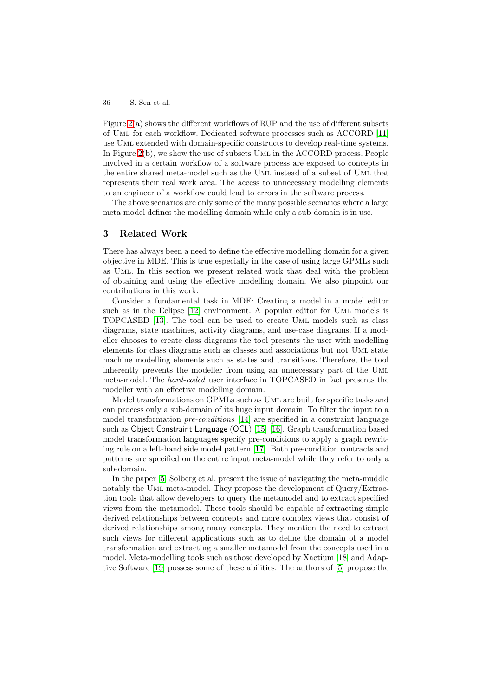Figure  $2(a)$  shows the different workflows of RUP and the use of different subsets of Uml for each workflow. Dedicated software processes such as ACCORD [\[11\]](#page-15-2) use Uml extended with domain-specific constructs to develop real-time systems. In Figure [2\(](#page-4-1)b), we show the use of subsets UML in the ACCORD process. People involved in a certain workflow of a software process are exposed to concepts in the entire shared meta-model such as the Uml instead of a subset of Uml that represents their real work area. The access to unnecessary modelling elements to an engineer of a workflow could lead to errors in the software process.

The above scenarios are only some of the many possible scenarios where a large meta-model defines the modelling domain while only a sub-domain is in use.

#### <span id="page-5-0"></span>3 Related Work

There has always been a need to define the effective modelling domain for a given objective in MDE. This is true especially in the case of using large GPMLs such as Uml. In this section we present related work that deal with the problem of obtaining and using the effective modelling domain. We also pinpoint our contributions in this work.

Consider a fundamental task in MDE: Creating a model in a model editor such as in the Eclipse [\[12\]](#page-15-3) environment. A popular editor for UML models is TOPCASED [\[13\]](#page-15-4). The tool can be used to create Uml models such as class diagrams, state machines, activity diagrams, and use-case diagrams. If a modeller chooses to create class diagrams the tool presents the user with modelling elements for class diagrams such as classes and associations but not Uml state machine modelling elements such as states and transitions. Therefore, the tool inherently prevents the modeller from using an unnecessary part of the Uml meta-model. The hard-coded user interface in TOPCASED in fact presents the modeller with an effective modelling domain.

Model transformations on GPMLs such as Uml are built for specific tasks and can process only a sub-domain of its huge input domain. To filter the input to a model transformation pre-conditions [\[14\]](#page-15-5) are specified in a constraint language such as Object Constraint Language (OCL) [\[15\]](#page-15-6) [\[16\]](#page-15-7). Graph transformation based model transformation languages specify pre-conditions to apply a graph rewriting rule on a left-hand side model pattern [\[17\]](#page-15-8). Both pre-condition contracts and patterns are specified on the entire input meta-model while they refer to only a sub-domain.

In the paper [\[5\]](#page-14-5) Solberg et al. present the issue of navigating the meta-muddle notably the Uml meta-model. They propose the development of Query/Extraction tools that allow developers to query the metamodel and to extract specified views from the metamodel. These tools should be capable of extracting simple derived relationships between concepts and more complex views that consist of derived relationships among many concepts. They mention the need to extract such views for different applications such as to define the domain of a model transformation and extracting a smaller metamodel from the concepts used in a model. Meta-modelling tools such as those developed by Xactium [\[18\]](#page-15-9) and Adaptive Software [\[19\]](#page-15-10) possess some of these abilities. The authors of [\[5\]](#page-14-5) propose the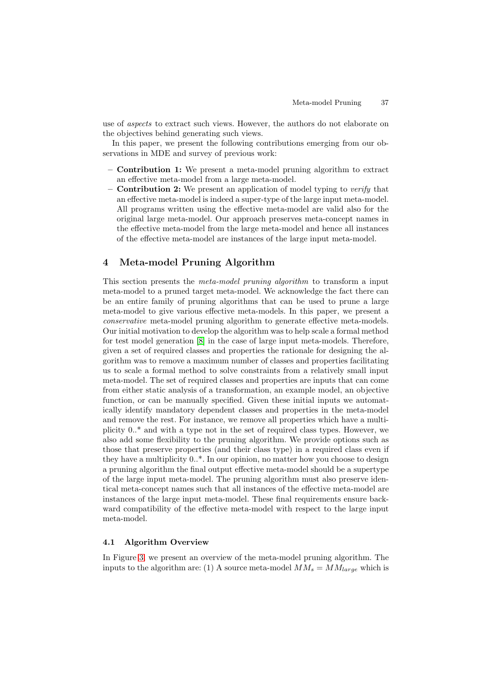use of aspects to extract such views. However, the authors do not elaborate on the objectives behind generating such views.

In this paper, we present the following contributions emerging from our observations in MDE and survey of previous work:

- Contribution 1: We present a meta-model pruning algorithm to extract an effective meta-model from a large meta-model.
- Contribution 2: We present an application of model typing to verify that an effective meta-model is indeed a super-type of the large input meta-model. All programs written using the effective meta-model are valid also for the original large meta-model. Our approach preserves meta-concept names in the effective meta-model from the large meta-model and hence all instances of the effective meta-model are instances of the large input meta-model.

## <span id="page-6-0"></span>4 Meta-model Pruning Algorithm

This section presents the *meta-model pruning algorithm* to transform a input meta-model to a pruned target meta-model. We acknowledge the fact there can be an entire family of pruning algorithms that can be used to prune a large meta-model to give various effective meta-models. In this paper, we present a conservative meta-model pruning algorithm to generate effective meta-models. Our initial motivation to develop the algorithm was to help scale a formal method for test model generation [\[8\]](#page-14-9) in the case of large input meta-models. Therefore, given a set of required classes and properties the rationale for designing the algorithm was to remove a maximum number of classes and properties facilitating us to scale a formal method to solve constraints from a relatively small input meta-model. The set of required classes and properties are inputs that can come from either static analysis of a transformation, an example model, an objective function, or can be manually specified. Given these initial inputs we automatically identify mandatory dependent classes and properties in the meta-model and remove the rest. For instance, we remove all properties which have a multiplicity 0..\* and with a type not in the set of required class types. However, we also add some flexibility to the pruning algorithm. We provide options such as those that preserve properties (and their class type) in a required class even if they have a multiplicity 0..\*. In our opinion, no matter how you choose to design a pruning algorithm the final output effective meta-model should be a supertype of the large input meta-model. The pruning algorithm must also preserve identical meta-concept names such that all instances of the effective meta-model are instances of the large input meta-model. These final requirements ensure backward compatibility of the effective meta-model with respect to the large input meta-model.

#### 4.1 Algorithm Overview

In Figure [3,](#page-7-0) we present an overview of the meta-model pruning algorithm. The inputs to the algorithm are: (1) A source meta-model  $MM_s = MM_{large}$  which is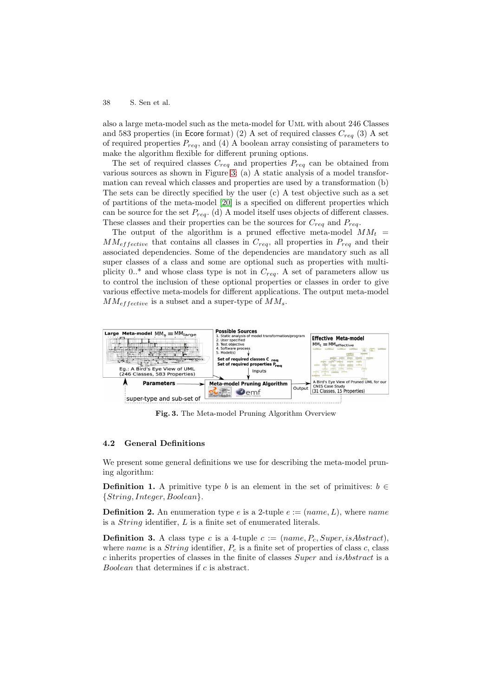also a large meta-model such as the meta-model for Uml with about 246 Classes and 583 properties (in Ecore format) (2) A set of required classes  $C_{req}$  (3) A set of required properties  $P_{req}$ , and (4) A boolean array consisting of parameters to make the algorithm flexible for different pruning options.

The set of required classes  $C_{req}$  and properties  $P_{req}$  can be obtained from various sources as shown in Figure [3:](#page-7-0) (a) A static analysis of a model transformation can reveal which classes and properties are used by a transformation (b) The sets can be directly specified by the user (c) A test objective such as a set of partitions of the meta-model [\[20\]](#page-15-11) is a specified on different properties which can be source for the set  $P_{req}$ . (d) A model itself uses objects of different classes. These classes and their properties can be the sources for  $C_{req}$  and  $P_{req}$ .

The output of the algorithm is a pruned effective meta-model  $MM_t =$  $MM_{effective}$  that contains all classes in  $C_{req}$ , all properties in  $P_{req}$  and their associated dependencies. Some of the dependencies are mandatory such as all super classes of a class and some are optional such as properties with multiplicity 0..\* and whose class type is not in  $C_{req}$ . A set of parameters allow us to control the inclusion of these optional properties or classes in order to give various effective meta-models for different applications. The output meta-model  $MM_{effective}$  is a subset and a super-type of  $MM_s$ .



Fig. 3. The Meta-model Pruning Algorithm Overview

#### <span id="page-7-0"></span>4.2 General Definitions

We present some general definitions we use for describing the meta-model pruning algorithm:

**Definition 1.** A primitive type b is an element in the set of primitives:  $b \in$ {String, Integer, Boolean}.

**Definition 2.** An enumeration type e is a 2-tuple  $e := (name, L)$ , where name is a String identifier, L is a finite set of enumerated literals.

**Definition 3.** A class type c is a 4-tuple  $c := (name, P_c, Super, isAbstract)$ , where name is a *String* identifier,  $P_c$  is a finite set of properties of class c, class  $c$  inherits properties of classes in the finite of classes  $Super$  and  $isAbstract$  is a Boolean that determines if c is abstract.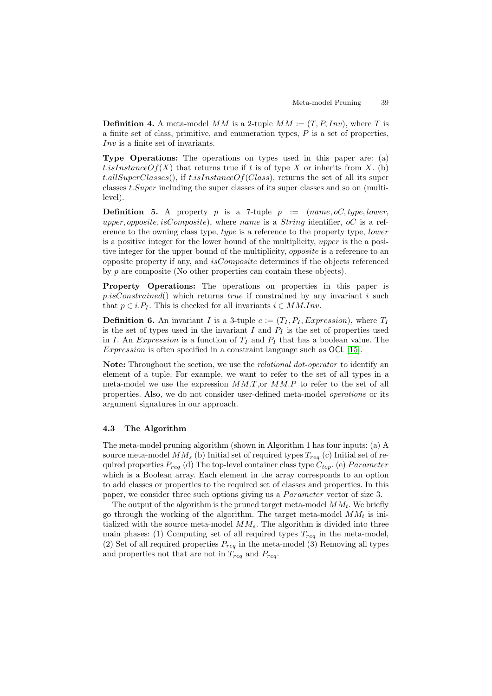**Definition 4.** A meta-model  $MM$  is a 2-tuple  $MM := (T, P, Inv)$ , where T is a finite set of class, primitive, and enumeration types,  $P$  is a set of properties, Inv is a finite set of invariants.

Type Operations: The operations on types used in this paper are: (a) t.isInstance $Of(X)$  that returns true if t is of type X or inherits from X. (b) t.allSuperClasses(), if t.isInstanceOf(Class), returns the set of all its super classes t.Super including the super classes of its super classes and so on (multilevel).

**Definition 5.** A property p is a 7-tuple  $p := (name, oC, type, lower,$ upper, opposite, is Composite), where name is a String identifier, oC is a reference to the owning class type, type is a reference to the property type, lower is a positive integer for the lower bound of the multiplicity, upper is the a positive integer for the upper bound of the multiplicity, *opposite* is a reference to an opposite property if any, and isComposite determines if the objects referenced by p are composite (No other properties can contain these objects).

Property Operations: The operations on properties in this paper is  $p.isConstrained()$  which returns true if constrained by any invariant i such that  $p \in i.P_I$ . This is checked for all invariants  $i \in MM.Inv$ .

**Definition 6.** An invariant I is a 3-tuple  $c := (T_I, P_I, Expression)$ , where  $T_I$ is the set of types used in the invariant I and  $P_I$  is the set of properties used in I. An Expression is a function of  $T_I$  and  $P_I$  that has a boolean value. The Expression is often specified in a constraint language such as OCL [\[15\]](#page-15-6).

Note: Throughout the section, we use the *relational dot-operator* to identify an element of a tuple. For example, we want to refer to the set of all types in a meta-model we use the expression  $MM.T$ , or  $MM.P$  to refer to the set of all properties. Also, we do not consider user-defined meta-model operations or its argument signatures in our approach.

#### 4.3 The Algorithm

The meta-model pruning algorithm (shown in Algorithm 1 has four inputs: (a) A source meta-model  $MM_s$  (b) Initial set of required types  $T_{req}$  (c) Initial set of required properties  $P_{req}$  (d) The top-level container class type  $C_{top}$ . (e) Parameter which is a Boolean array. Each element in the array corresponds to an option to add classes or properties to the required set of classes and properties. In this paper, we consider three such options giving us a Parameter vector of size 3.

The output of the algorithm is the pruned target meta-model  $MM_t$ . We briefly go through the working of the algorithm. The target meta-model  $MM_t$  is initialized with the source meta-model  $MM_s$ . The algorithm is divided into three main phases: (1) Computing set of all required types  $T_{req}$  in the meta-model, (2) Set of all required properties  $P_{req}$  in the meta-model (3) Removing all types and properties not that are not in  $T_{req}$  and  $P_{req}$ .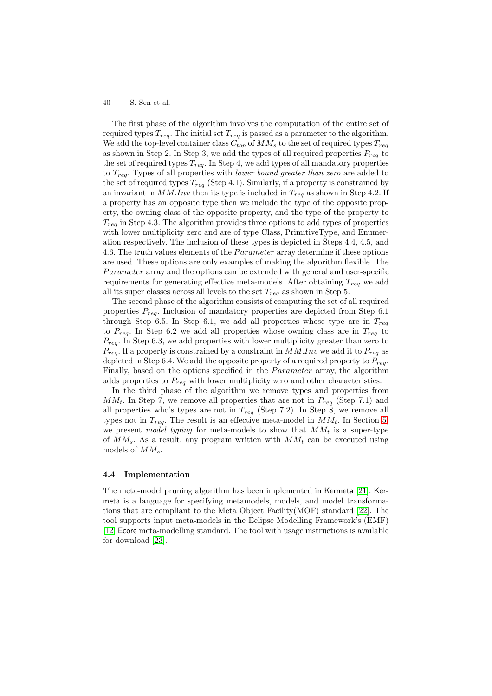The first phase of the algorithm involves the computation of the entire set of required types  $T_{req}$ . The initial set  $T_{req}$  is passed as a parameter to the algorithm. We add the top-level container class  $C_{top}$  of  $MM_s$  to the set of required types  $T_{req}$ as shown in Step 2. In Step 3, we add the types of all required properties  $P_{req}$  to the set of required types  $T_{req}$ . In Step 4, we add types of all mandatory properties to  $T_{req}$ . Types of all properties with *lower bound greater than zero* are added to the set of required types  $T_{req}$  (Step 4.1). Similarly, if a property is constrained by an invariant in  $MMInv$  then its type is included in  $T_{req}$  as shown in Step 4.2. If a property has an opposite type then we include the type of the opposite property, the owning class of the opposite property, and the type of the property to  $T_{req}$  in Step 4.3. The algorithm provides three options to add types of properties with lower multiplicity zero and are of type Class, PrimitiveType, and Enumeration respectively. The inclusion of these types is depicted in Steps 4.4, 4.5, and 4.6. The truth values elements of the Parameter array determine if these options are used. These options are only examples of making the algorithm flexible. The Parameter array and the options can be extended with general and user-specific requirements for generating effective meta-models. After obtaining  $T_{req}$  we add all its super classes across all levels to the set  $T_{req}$  as shown in Step 5.

The second phase of the algorithm consists of computing the set of all required properties  $P_{req}$ . Inclusion of mandatory properties are depicted from Step 6.1 through Step 6.5. In Step 6.1, we add all properties whose type are in  $T_{req}$ to  $P_{reg}$ . In Step 6.2 we add all properties whose owning class are in  $T_{reg}$  to  $P_{req}$ . In Step 6.3, we add properties with lower multiplicity greater than zero to  $P_{req}$ . If a property is constrained by a constraint in  $MMInv$  we add it to  $P_{req}$  as depicted in Step 6.4. We add the opposite property of a required property to  $P_{rea}$ . Finally, based on the options specified in the Parameter array, the algorithm adds properties to  $P_{req}$  with lower multiplicity zero and other characteristics.

In the third phase of the algorithm we remove types and properties from  $MM_t$ . In Step 7, we remove all properties that are not in  $P_{req}$  (Step 7.1) and all properties who's types are not in  $T_{req}$  (Step 7.2). In Step 8, we remove all types not in  $T_{req}$ . The result is an effective meta-model in  $MM_t$ . In Section [5,](#page-11-0) we present model typing for meta-models to show that  $MM_t$  is a super-type of  $MM_s$ . As a result, any program written with  $MM_t$  can be executed using models of  $MM_{s}$ .

#### 4.4 Implementation

The meta-model pruning algorithm has been implemented in Kermeta [\[21\]](#page-15-12). Kermeta is a language for specifying metamodels, models, and model transformations that are compliant to the Meta Object Facility(MOF) standard [\[22\]](#page-15-13). The tool supports input meta-models in the Eclipse Modelling Framework's (EMF) [\[12\]](#page-15-3) Ecore meta-modelling standard. The tool with usage instructions is available for download [\[23\]](#page-15-14).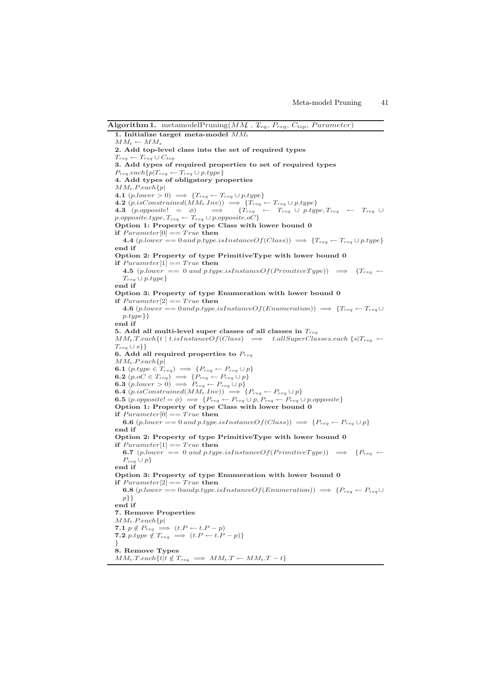```
Algorithm 1. metamodelPruning(MM_s, T_{eq}, P_{req}, C_{top}, Parameter)
  1. Initialize target meta-model MM_tMM_t \leftarrow MM_s2. Add top-level class into the set of required types
  T_{req} \leftarrow T_{req} \cup C_{top}3. Add types of required properties to set of required types
  \label{eq:pred} P_{req}.each \{p | T_{req} \leftarrow T_{req} \cup p.\textit{type}\}4. Add types of obligatory properties
  MM_t.P.each{p|}4.1 (p.lower > 0) \implies \{T_{req} \leftarrow T_{req} \cup p_type\}4.2 (p.isConstrained(MM_t.Inv)) \implies \{T_{req} \leftarrow T_{req} \cup p_type\}4.3 (p.opposite! = \phi) \implies {T_{req} \leftarrow T_{req} \cup p.type, T_{req} \leftarrow T_{req} \cupp.\text{opposite}.type, T_{req} \leftarrow T_{req} \cup p.\text{opposite}.oC\}Option 1: Property of type Class with lower bound 0
  if Parameter[0] == True then
    4.4 (p.lower == 0 and p.type.isInstanceOf(Class)) \implies {T_{reg} \leftarrow T_{reg} \cup p.type}
  end if
  Option 2: Property of type PrimitiveType with lower bound 0
  if Parameter[1] == True then
     4.5 (p.lower == 0 and p.type.isInstanceOf(PrimitiveType)) \implies {T<sub>req</sub> ←
     T_{req} \cup p.type\}end if
  Option 3: Property of type Enumeration with lower bound 0
  if Parameter[2] == True then
     4.6 (p.lower == 0 and p.type.isInstanceOf(Enumeration)) \implies \{T_{req} \leftarrow T_{req} \cupp.type}}
  end if
  5. Add all multi-level super classes of all classes in T_{req}MM_t.T.each{t | t.isInstanceOf(Class) } \implies t.allSuperClasses.each {s|T<sub>req</sub> ←
  T_{req} \cup s}
  6. Add all required properties to P_{req}MM_t.P.each{p|}6.1 (p.\text{type} \in T_{req}) \implies \{P_{req} \leftarrow P_{req} \cup p\}6.2 (p.oC \in T_{req}) \implies \{P_{req} \leftarrow P_{req} \cup p\}6.3 (p.lower > 0) \implies P_{req} \leftarrow P_{req} \cup p6.4 (p.isConstrained(MM_t.Inv)) \implies {P_{req}} \leftarrow P_{req} \cup p6.5 (p.\textit{opposite!} = \phi) \implies \{P_{req} \leftarrow P_{req} \cup p, P_{req} \leftarrow P_{req} \cup p.\textit{opposite}\}\Option 1: Property of type Class with lower bound 0
  if Parameter[0] == True then
     6.6 (p.lower == 0 and p_type.isInstanceOf(Class)) \implies {P_{req}} \leftarrow {P_{req}} \cup pend if
  Option 2: Property of type PrimitiveType with lower bound 0
  if Parameter[1] == True then
     6.7 (p.lower == 0 and p.type.isInstanceOf(PrimitiveType)) \implies {P<sub>req</sub> ←
     P_{req} \cup p}
  end if
  Option 3: Property of type Enumeration with lower bound 0
  if Parameter[2] == True then
    6.8 (p.lower == 0andp.type.isInstanceOf(Enumeration)) \implies {P<sub>req</sub> ← P<sub>req</sub> ∪
    p}}
  end if
  7. Remove Properties
  MM_t.P.each\{p|7.1 p \notin P_{req} \implies (t.P \leftarrow t.P - p)7.2 p.type \notin T_{req} \implies (t.P \leftarrow t.P - p)}
  8. Remove Types
  MM_t.T. each \{ t | t \notin T_{req} \implies MM_t.T \leftarrow MM_t.T - t \}
```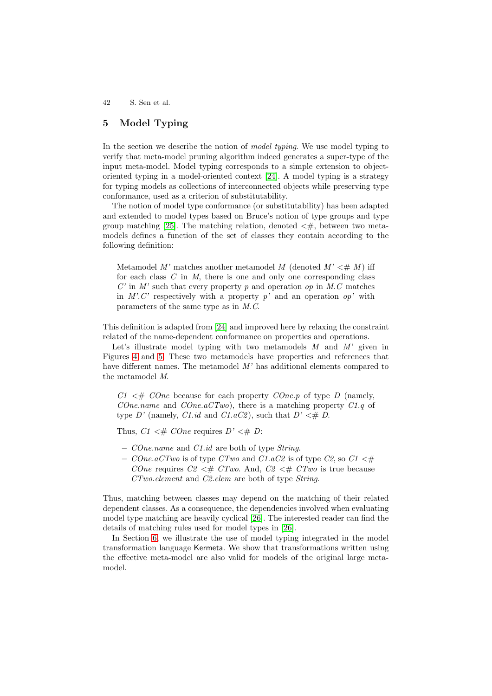## <span id="page-11-0"></span>5 Model Typing

In the section we describe the notion of *model typing*. We use model typing to verify that meta-model pruning algorithm indeed generates a super-type of the input meta-model. Model typing corresponds to a simple extension to objectoriented typing in a model-oriented context [\[24\]](#page-15-15). A model typing is a strategy for typing models as collections of interconnected objects while preserving type conformance, used as a criterion of substitutability.

The notion of model type conformance (or substitutability) has been adapted and extended to model types based on Bruce's notion of type groups and type group matching [\[25\]](#page-15-16). The matching relation, denoted  $\langle #, \rangle$  between two metamodels defines a function of the set of classes they contain according to the following definition:

Metamodel M' matches another metamodel M (denoted  $M' \leq H$ ) iff for each class  $C$  in  $M$ , there is one and only one corresponding class  $C'$  in M' such that every property p and operation op in M.C matches in  $M'C'$  respectively with a property p' and an operation op' with parameters of the same type as in M.C.

This definition is adapted from [\[24\]](#page-15-15) and improved here by relaxing the constraint related of the name-dependent conformance on properties and operations.

Let's illustrate model typing with two metamodels  $M$  and  $M'$  given in Figures [4](#page-12-1) and [5.](#page-12-2) These two metamodels have properties and references that have different names. The metamodel M' has additional elements compared to the metamodel M.

 $C1 \leq H$  COne because for each property COne.p of type D (namely, *COne.name* and *COne.aCTwo*), there is a matching property *C1.q* of type D' (namely, C1.id and C1.aC2), such that  $D' \leq \# D$ .

Thus,  $C1 \leq H$  COne requires  $D' \leq H$  D:

- $COne.name$  and  $C1.id$  are both of type *String*.
- COne.aCTwo is of type CTwo and C1.aC2 is of type C2, so C1  $\lt\#$ COne requires  $C2 < \#$  CTwo. And,  $C2 < \#$  CTwo is true because CTwo.element and C2.elem are both of type String.

Thus, matching between classes may depend on the matching of their related dependent classes. As a consequence, the dependencies involved when evaluating model type matching are heavily cyclical [\[26\]](#page-15-17). The interested reader can find the details of matching rules used for model types in [\[26\]](#page-15-17).

In Section [6,](#page-12-0) we illustrate the use of model typing integrated in the model transformation language Kermeta. We show that transformations written using the effective meta-model are also valid for models of the original large metamodel.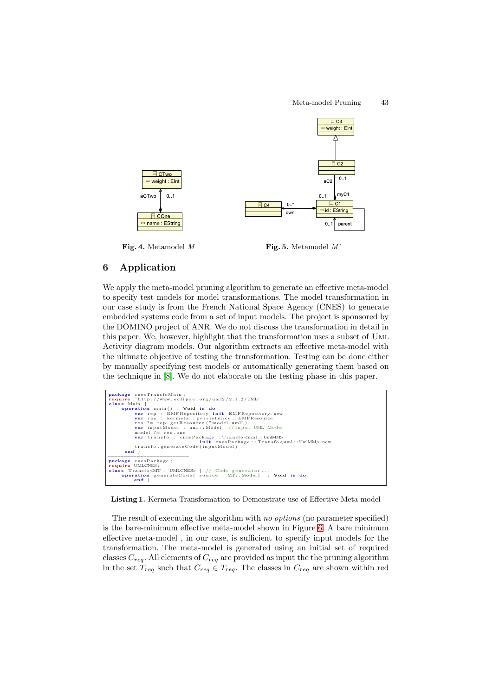<span id="page-12-2"></span>Meta-model Pruning 43



<span id="page-12-1"></span>

Fig. 4. Metamodel *M* Fig. 5. Metamodel *M*'

## <span id="page-12-0"></span>6 Application

We apply the meta-model pruning algorithm to generate an effective meta-model to specify test models for model transformations. The model transformation in our case study is from the French National Space Agency (CNES) to generate embedded systems code from a set of input models. The project is sponsored by the DOMINO project of ANR. We do not discuss the transformation in detail in this paper. We, however, highlight that the transformation uses a subset of Uml Activity diagram models. Our algorithm extracts an effective meta-model with the ultimate objective of testing the transformation. Testing can be done either by manually specifying test models or automatically generating them based on the technique in [\[8\]](#page-14-9). We do not elaborate on the testing phase in this paper.

```
package cnesTransfoMain ;<br>require "http://www.eclipse.org/uml2/2.1.2/UML"
 class Main {<br>
operation main() : Void is do<br>
var rep : EMFRepository intr EMFRepository.new<br>
var res : kermeta::persistence ::EMFResource<br>
res ?= rep.getResource ("model.uml")<br>
var inputModel : uml::Model //Input UML Mod
−−−−−−−−−−−−−−−−−−−−−−−−−
package cnesPackage ;
require UMLCNES ;
class Transfo<MT : UMLCNES> { // Code g en e r a to r . . .
operation g e n e ra t eC o d e ( s o u r c e : MT : : Model ) : Void i s do
... end }
```
Listing 1. Kermeta Transformation to Demonstrate use of Effective Meta-model

The result of executing the algorithm with no options (no parameter specified) is the bare-minimum effective meta-model shown in Figure [6.](#page-13-0) A bare minimum effective meta-model , in our case, is sufficient to specify input models for the transformation. The meta-model is generated using an initial set of required classes  $C_{req}$ . All elements of  $C_{req}$  are provided as input the the pruning algorithm in the set  $T_{req}$  such that  $C_{req} \in T_{req}$ . The classes in  $C_{req}$  are shown within red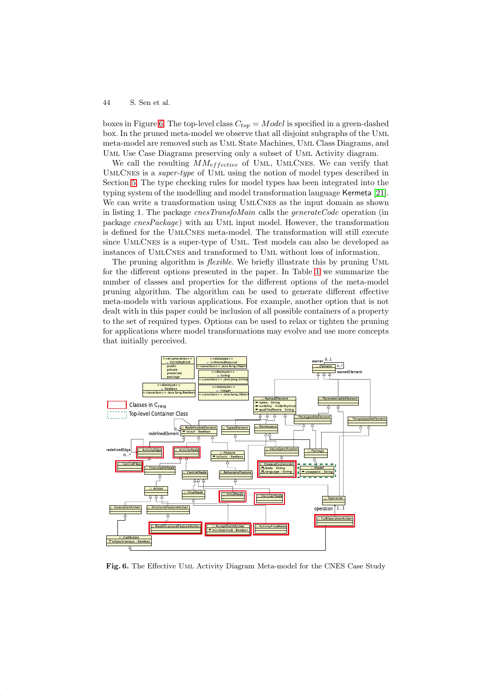boxes in Figure [6.](#page-13-0) The top-level class  $C_{top} = Model$  is specified in a green-dashed box. In the pruned meta-model we observe that all disjoint subgraphs of the Uml meta-model are removed such as Uml State Machines, Uml Class Diagrams, and Uml Use Case Diagrams preserving only a subset of Uml Activity diagram.

We call the resulting  $MM_{effective}$  of UML, UMLCNES. We can verify that UmlCnes is a super-type of Uml using the notion of model types described in Section [5.](#page-11-0) The type checking rules for model types has been integrated into the typing system of the modelling and model transformation language Kermeta [\[21\]](#page-15-12). We can write a transformation using UmlCnes as the input domain as shown in listing 1. The package cnesTransfoMain calls the generateCode operation (in package cnesPackage) with an Uml input model. However, the transformation is defined for the UmlCnes meta-model. The transformation will still execute since UmlCnes is a super-type of Uml. Test models can also be developed as instances of UmlCnes and transformed to Uml without loss of information.

The pruning algorithm is *flexible*. We briefly illustrate this by pruning UML for the different options presented in the paper. In Table [1](#page-14-10) we summarize the number of classes and properties for the different options of the meta-model pruning algorithm. The algorithm can be used to generate different effective meta-models with various applications. For example, another option that is not dealt with in this paper could be inclusion of all possible containers of a property to the set of required types. Options can be used to relax or tighten the pruning for applications where model transformations may evolve and use more concepts that initially perceived.



<span id="page-13-0"></span>Fig. 6. The Effective Uml Activity Diagram Meta-model for the CNES Case Study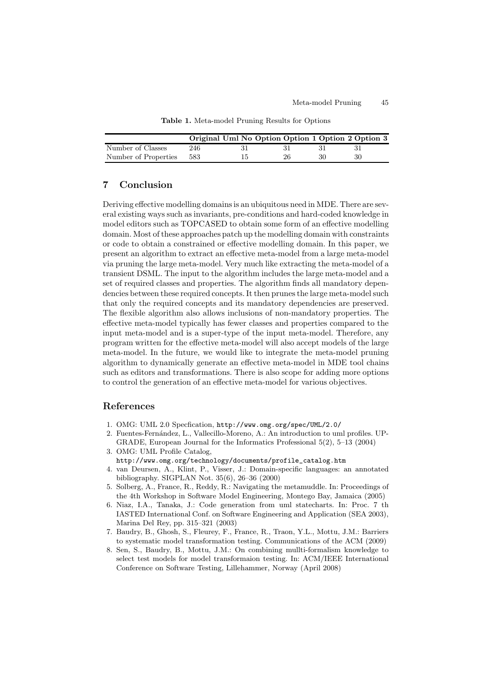Table 1. Meta-model Pruning Results for Options

<span id="page-14-10"></span>

|                      |     |  |    |    | Original Uml No Option Option 1 Option 2 Option 3 |
|----------------------|-----|--|----|----|---------------------------------------------------|
| Number of Classes    | 246 |  |    |    |                                                   |
| Number of Properties | 583 |  | 26 | 30 |                                                   |

## <span id="page-14-6"></span>7 Conclusion

Deriving effective modelling domains is an ubiquitous need in MDE. There are several existing ways such as invariants, pre-conditions and hard-coded knowledge in model editors such as TOPCASED to obtain some form of an effective modelling domain. Most of these approaches patch up the modelling domain with constraints or code to obtain a constrained or effective modelling domain. In this paper, we present an algorithm to extract an effective meta-model from a large meta-model via pruning the large meta-model. Very much like extracting the meta-model of a transient DSML. The input to the algorithm includes the large meta-model and a set of required classes and properties. The algorithm finds all mandatory dependencies between these required concepts. It then prunes the large meta-model such that only the required concepts and its mandatory dependencies are preserved. The flexible algorithm also allows inclusions of non-mandatory properties. The effective meta-model typically has fewer classes and properties compared to the input meta-model and is a super-type of the input meta-model. Therefore, any program written for the effective meta-model will also accept models of the large meta-model. In the future, we would like to integrate the meta-model pruning algorithm to dynamically generate an effective meta-model in MDE tool chains such as editors and transformations. There is also scope for adding more options to control the generation of an effective meta-model for various objectives.

### <span id="page-14-3"></span><span id="page-14-0"></span>References

- <span id="page-14-1"></span>1. OMG: UML 2.0 Specfication, <http://www.omg.org/spec/UML/2.0/>
- <span id="page-14-2"></span>2. Fuentes-Fernández, L., Vallecillo-Moreno, A.: An introduction to uml profiles. UP-GRADE, European Journal for the Informatics Professional 5(2), 5–13 (2004) 3. OMG: UML Profile Catalog,
- <span id="page-14-4"></span>[http://www.omg.org/technology/documents/profile\\_catalog.htm](http://www.omg.org/technology/documents/profile_catalog.htm)
- 4. van Deursen, A., Klint, P., Visser, J.: Domain-specific languages: an annotated bibliography. SIGPLAN Not. 35(6), 26–36 (2000)
- <span id="page-14-5"></span>5. Solberg, A., France, R., Reddy, R.: Navigating the metamuddle. In: Proceedings of the 4th Workshop in Software Model Engineering, Montego Bay, Jamaica (2005)
- <span id="page-14-7"></span>6. Niaz, I.A., Tanaka, J.: Code generation from uml statecharts. In: Proc. 7 th IASTED International Conf. on Software Engineering and Application (SEA 2003), Marina Del Rey, pp. 315–321 (2003)
- <span id="page-14-8"></span>7. Baudry, B., Ghosh, S., Fleurey, F., France, R., Traon, Y.L., Mottu, J.M.: Barriers to systematic model transformation testing. Communications of the ACM (2009)
- <span id="page-14-9"></span>8. Sen, S., Baudry, B., Mottu, J.M.: On combining mullti-formalism knowledge to select test models for model transformaion testing. In: ACM/IEEE International Conference on Software Testing, Lillehammer, Norway (April 2008)